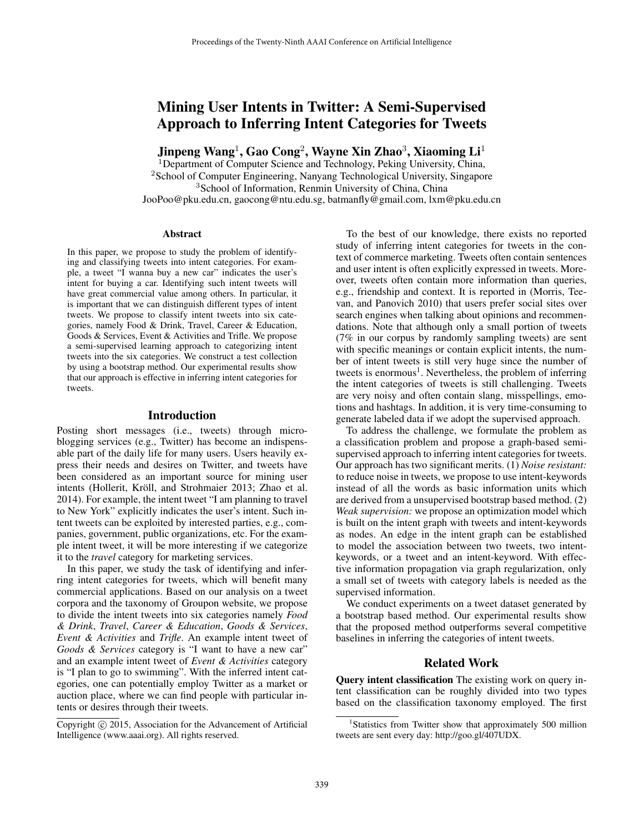# Mining User Intents in Twitter: A Semi-Supervised Approach to Inferring Intent Categories for Tweets

Jinpeng Wang $^1$ , Gao Cong $^2$ , Wayne Xin Zhao $^3$ , Xiaoming Li $^1$ 

<sup>1</sup>Department of Computer Science and Technology, Peking University, China, <sup>2</sup>School of Computer Engineering, Nanyang Technological University, Singapore <sup>3</sup>School of Information, Renmin University of China, China JooPoo@pku.edu.cn, gaocong@ntu.edu.sg, batmanfly@gmail.com, lxm@pku.edu.cn

### **Abstract**

In this paper, we propose to study the problem of identifying and classifying tweets into intent categories. For example, a tweet "I wanna buy a new car" indicates the user's intent for buying a car. Identifying such intent tweets will have great commercial value among others. In particular, it is important that we can distinguish different types of intent tweets. We propose to classify intent tweets into six categories, namely Food & Drink, Travel, Career & Education, Goods & Services, Event & Activities and Trifle. We propose a semi-supervised learning approach to categorizing intent tweets into the six categories. We construct a test collection by using a bootstrap method. Our experimental results show that our approach is effective in inferring intent categories for tweets.

#### Introduction

Posting short messages (i.e., tweets) through microblogging services (e.g., Twitter) has become an indispensable part of the daily life for many users. Users heavily express their needs and desires on Twitter, and tweets have been considered as an important source for mining user intents (Hollerit, Kröll, and Strohmaier 2013; Zhao et al. 2014). For example, the intent tweet "I am planning to travel to New York" explicitly indicates the user's intent. Such intent tweets can be exploited by interested parties, e.g., companies, government, public organizations, etc. For the example intent tweet, it will be more interesting if we categorize it to the *travel* category for marketing services.

In this paper, we study the task of identifying and inferring intent categories for tweets, which will benefit many commercial applications. Based on our analysis on a tweet corpora and the taxonomy of Groupon website, we propose to divide the intent tweets into six categories namely *Food & Drink*, *Travel*, *Career & Education*, *Goods & Services*, *Event & Activities* and *Trifle*. An example intent tweet of *Goods & Services* category is "I want to have a new car" and an example intent tweet of *Event & Activities* category is "I plan to go to swimming". With the inferred intent categories, one can potentially employ Twitter as a market or auction place, where we can find people with particular intents or desires through their tweets.

To the best of our knowledge, there exists no reported study of inferring intent categories for tweets in the context of commerce marketing. Tweets often contain sentences and user intent is often explicitly expressed in tweets. Moreover, tweets often contain more information than queries, e.g., friendship and context. It is reported in (Morris, Teevan, and Panovich 2010) that users prefer social sites over search engines when talking about opinions and recommendations. Note that although only a small portion of tweets (7% in our corpus by randomly sampling tweets) are sent with specific meanings or contain explicit intents, the number of intent tweets is still very huge since the number of tweets is enormous<sup>1</sup>. Nevertheless, the problem of inferring the intent categories of tweets is still challenging. Tweets are very noisy and often contain slang, misspellings, emotions and hashtags. In addition, it is very time-consuming to generate labeled data if we adopt the supervised approach.

To address the challenge, we formulate the problem as a classification problem and propose a graph-based semisupervised approach to inferring intent categories for tweets. Our approach has two significant merits. (1) *Noise resistant:* to reduce noise in tweets, we propose to use intent-keywords instead of all the words as basic information units which are derived from a unsupervised bootstrap based method. (2) *Weak supervision:* we propose an optimization model which is built on the intent graph with tweets and intent-keywords as nodes. An edge in the intent graph can be established to model the association between two tweets, two intentkeywords, or a tweet and an intent-keyword. With effective information propagation via graph regularization, only a small set of tweets with category labels is needed as the supervised information.

We conduct experiments on a tweet dataset generated by a bootstrap based method. Our experimental results show that the proposed method outperforms several competitive baselines in inferring the categories of intent tweets.

### Related Work

Query intent classification The existing work on query intent classification can be roughly divided into two types based on the classification taxonomy employed. The first

Copyright (c) 2015, Association for the Advancement of Artificial Intelligence (www.aaai.org). All rights reserved.

<sup>&</sup>lt;sup>1</sup>Statistics from Twitter show that approximately 500 million tweets are sent every day: http://goo.gl/407UDX.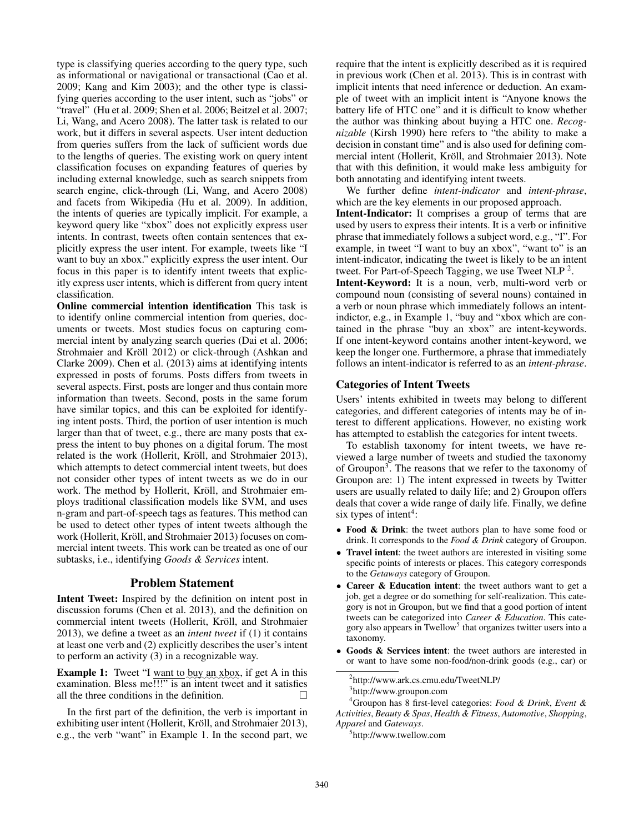type is classifying queries according to the query type, such as informational or navigational or transactional (Cao et al. 2009; Kang and Kim 2003); and the other type is classifying queries according to the user intent, such as "jobs" or "travel" (Hu et al. 2009; Shen et al. 2006; Beitzel et al. 2007; Li, Wang, and Acero 2008). The latter task is related to our work, but it differs in several aspects. User intent deduction from queries suffers from the lack of sufficient words due to the lengths of queries. The existing work on query intent classification focuses on expanding features of queries by including external knowledge, such as search snippets from search engine, click-through (Li, Wang, and Acero 2008) and facets from Wikipedia (Hu et al. 2009). In addition, the intents of queries are typically implicit. For example, a keyword query like "xbox" does not explicitly express user intents. In contrast, tweets often contain sentences that explicitly express the user intent. For example, tweets like "I want to buy an xbox." explicitly express the user intent. Our focus in this paper is to identify intent tweets that explicitly express user intents, which is different from query intent classification.

Online commercial intention identification This task is to identify online commercial intention from queries, documents or tweets. Most studies focus on capturing commercial intent by analyzing search queries (Dai et al. 2006; Strohmaier and Kröll 2012) or click-through (Ashkan and Clarke 2009). Chen et al. (2013) aims at identifying intents expressed in posts of forums. Posts differs from tweets in several aspects. First, posts are longer and thus contain more information than tweets. Second, posts in the same forum have similar topics, and this can be exploited for identifying intent posts. Third, the portion of user intention is much larger than that of tweet, e.g., there are many posts that express the intent to buy phones on a digital forum. The most related is the work (Hollerit, Kröll, and Strohmaier 2013), which attempts to detect commercial intent tweets, but does not consider other types of intent tweets as we do in our work. The method by Hollerit, Kröll, and Strohmaier employs traditional classification models like SVM, and uses n-gram and part-of-speech tags as features. This method can be used to detect other types of intent tweets although the work (Hollerit, Kröll, and Strohmaier 2013) focuses on commercial intent tweets. This work can be treated as one of our subtasks, i.e., identifying *Goods & Services* intent.

# Problem Statement

Intent Tweet: Inspired by the definition on intent post in discussion forums (Chen et al. 2013), and the definition on commercial intent tweets (Hollerit, Kröll, and Strohmaier 2013), we define a tweet as an *intent tweet* if (1) it contains at least one verb and (2) explicitly describes the user's intent to perform an activity (3) in a recognizable way.

**Example 1:** Tweet "I <u>want to buy an xbox</u>, if get A in this examination. Bless me!!!" is an intent tweet and it satisfies all the three conditions in the definition.  $\Box$ 

In the first part of the definition, the verb is important in exhibiting user intent (Hollerit, Kröll, and Strohmaier 2013), e.g., the verb "want" in Example 1. In the second part, we require that the intent is explicitly described as it is required in previous work (Chen et al. 2013). This is in contrast with implicit intents that need inference or deduction. An example of tweet with an implicit intent is "Anyone knows the battery life of HTC one" and it is difficult to know whether the author was thinking about buying a HTC one. *Recognizable* (Kirsh 1990) here refers to "the ability to make a decision in constant time" and is also used for defining commercial intent (Hollerit, Kröll, and Strohmaier 2013). Note that with this definition, it would make less ambiguity for both annotating and identifying intent tweets.

We further define *intent-indicator* and *intent-phrase*, which are the key elements in our proposed approach.

Intent-Indicator: It comprises a group of terms that are used by users to express their intents. It is a verb or infinitive phrase that immediately follows a subject word, e.g., "I". For example, in tweet "I want to buy an xbox", "want to" is an intent-indicator, indicating the tweet is likely to be an intent tweet. For Part-of-Speech Tagging, we use Tweet NLP<sup>2</sup>.

Intent-Keyword: It is a noun, verb, multi-word verb or compound noun (consisting of several nouns) contained in a verb or noun phrase which immediately follows an intentindictor, e.g., in Example 1, "buy and "xbox which are contained in the phrase "buy an xbox" are intent-keywords. If one intent-keyword contains another intent-keyword, we keep the longer one. Furthermore, a phrase that immediately follows an intent-indicator is referred to as an *intent-phrase*.

### Categories of Intent Tweets

Users' intents exhibited in tweets may belong to different categories, and different categories of intents may be of interest to different applications. However, no existing work has attempted to establish the categories for intent tweets.

To establish taxonomy for intent tweets, we have reviewed a large number of tweets and studied the taxonomy of Groupon<sup>3</sup>. The reasons that we refer to the taxonomy of Groupon are: 1) The intent expressed in tweets by Twitter users are usually related to daily life; and 2) Groupon offers deals that cover a wide range of daily life. Finally, we define six types of intent<sup>4</sup>:

- Food & Drink: the tweet authors plan to have some food or drink. It corresponds to the *Food & Drink* category of Groupon.
- Travel intent: the tweet authors are interested in visiting some specific points of interests or places. This category corresponds to the *Getaways* category of Groupon.
- Career & Education intent: the tweet authors want to get a job, get a degree or do something for self-realization. This category is not in Groupon, but we find that a good portion of intent tweets can be categorized into *Career & Education*. This category also appears in Twellow<sup>5</sup> that organizes twitter users into a taxonomy.
- Goods & Services intent: the tweet authors are interested in or want to have some non-food/non-drink goods (e.g., car) or

<sup>2</sup> http://www.ark.cs.cmu.edu/TweetNLP/ <sup>3</sup>http://www.groupon.com

<sup>4</sup>Groupon has 8 first-level categories: *Food & Drink*, *Event & Activities*, *Beauty & Spas*, *Health & Fitness*, *Automotive*, *Shopping*, *Apparel* and *Gateways*.

<sup>5</sup> http://www.twellow.com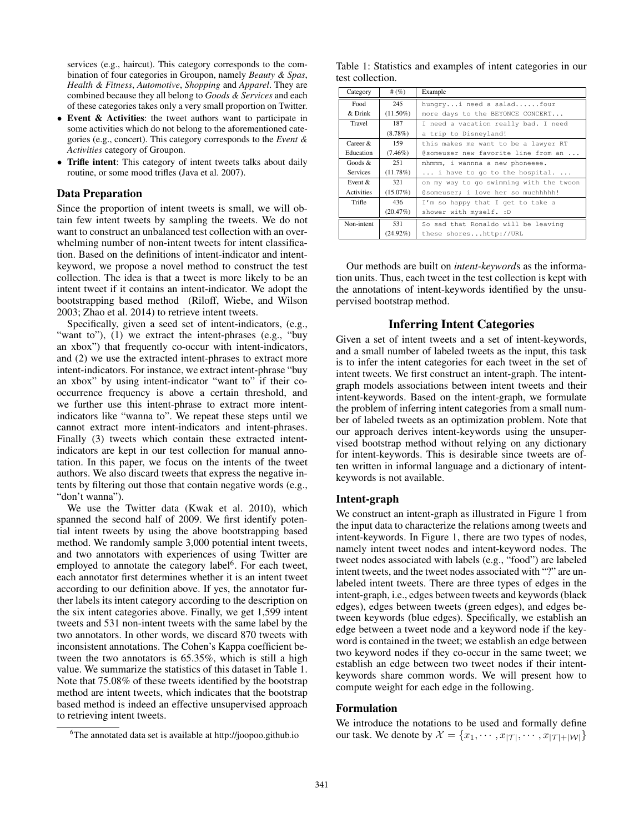services (e.g., haircut). This category corresponds to the combination of four categories in Groupon, namely *Beauty & Spas*, *Health & Fitness*, *Automotive*, *Shopping* and *Apparel*. They are combined because they all belong to *Goods & Services* and each of these categories takes only a very small proportion on Twitter.

- Event & Activities: the tweet authors want to participate in some activities which do not belong to the aforementioned categories (e.g., concert). This category corresponds to the *Event & Activities* category of Groupon.
- Trifle intent: This category of intent tweets talks about daily routine, or some mood trifles (Java et al. 2007).

## Data Preparation

Since the proportion of intent tweets is small, we will obtain few intent tweets by sampling the tweets. We do not want to construct an unbalanced test collection with an overwhelming number of non-intent tweets for intent classification. Based on the definitions of intent-indicator and intentkeyword, we propose a novel method to construct the test collection. The idea is that a tweet is more likely to be an intent tweet if it contains an intent-indicator. We adopt the bootstrapping based method (Riloff, Wiebe, and Wilson 2003; Zhao et al. 2014) to retrieve intent tweets.

Specifically, given a seed set of intent-indicators, (e.g., "want to"), (1) we extract the intent-phrases (e.g., "buy an xbox") that frequently co-occur with intent-indicators, and (2) we use the extracted intent-phrases to extract more intent-indicators. For instance, we extract intent-phrase "buy an xbox" by using intent-indicator "want to" if their cooccurrence frequency is above a certain threshold, and we further use this intent-phrase to extract more intentindicators like "wanna to". We repeat these steps until we cannot extract more intent-indicators and intent-phrases. Finally (3) tweets which contain these extracted intentindicators are kept in our test collection for manual annotation. In this paper, we focus on the intents of the tweet authors. We also discard tweets that express the negative intents by filtering out those that contain negative words (e.g., "don't wanna").

We use the Twitter data (Kwak et al. 2010), which spanned the second half of 2009. We first identify potential intent tweets by using the above bootstrapping based method. We randomly sample 3,000 potential intent tweets, and two annotators with experiences of using Twitter are employed to annotate the category label<sup>6</sup>. For each tweet, each annotator first determines whether it is an intent tweet according to our definition above. If yes, the annotator further labels its intent category according to the description on the six intent categories above. Finally, we get 1,599 intent tweets and 531 non-intent tweets with the same label by the two annotators. In other words, we discard 870 tweets with inconsistent annotations. The Cohen's Kappa coefficient between the two annotators is 65.35%, which is still a high value. We summarize the statistics of this dataset in Table 1. Note that 75.08% of these tweets identified by the bootstrap method are intent tweets, which indicates that the bootstrap based method is indeed an effective unsupervised approach to retrieving intent tweets.

Table 1: Statistics and examples of intent categories in our test collection.

| Category          | # $(\%)$    | Example                                 |  |  |  |
|-------------------|-------------|-----------------------------------------|--|--|--|
| Food              | 245         | hungryi need a saladfour                |  |  |  |
| & Drink           | $(11.50\%)$ | more days to the BEYONCE CONCERT        |  |  |  |
| Travel            | 187         | I need a vacation really bad. I need    |  |  |  |
|                   | $(8.78\%)$  | a trip to Disneyland!                   |  |  |  |
| $C$ areer $\&$    | 159         | this makes me want to be a lawyer RT    |  |  |  |
| Education         | $(7.46\%)$  | @someuser new favorite line from an     |  |  |  |
| Goods &           | 251         | mhmmm, i wannna a new phoneeee.         |  |  |  |
| Services          | $(11.78\%)$ | $\ldots$ i have to go to the hospital   |  |  |  |
| Event $\&$        | 321         | on my way to go swimming with the twoon |  |  |  |
| <b>Activities</b> | $(15.07\%)$ | @someuser; i love her so muchhhhh!      |  |  |  |
| Trifle            | 436         | I'm so happy that I get to take a       |  |  |  |
|                   | (20.47%)    | shower with myself. : D                 |  |  |  |
| Non-intent        | 531         | So sad that Ronaldo will be leaving     |  |  |  |
|                   | $(24.92\%)$ | these shoreshttp://URL                  |  |  |  |

Our methods are built on *intent-keyword*s as the information units. Thus, each tweet in the test collection is kept with the annotations of intent-keywords identified by the unsupervised bootstrap method.

# Inferring Intent Categories

Given a set of intent tweets and a set of intent-keywords, and a small number of labeled tweets as the input, this task is to infer the intent categories for each tweet in the set of intent tweets. We first construct an intent-graph. The intentgraph models associations between intent tweets and their intent-keywords. Based on the intent-graph, we formulate the problem of inferring intent categories from a small number of labeled tweets as an optimization problem. Note that our approach derives intent-keywords using the unsupervised bootstrap method without relying on any dictionary for intent-keywords. This is desirable since tweets are often written in informal language and a dictionary of intentkeywords is not available.

### Intent-graph

We construct an intent-graph as illustrated in Figure 1 from the input data to characterize the relations among tweets and intent-keywords. In Figure 1, there are two types of nodes, namely intent tweet nodes and intent-keyword nodes. The tweet nodes associated with labels (e.g., "food") are labeled intent tweets, and the tweet nodes associated with "?" are unlabeled intent tweets. There are three types of edges in the intent-graph, i.e., edges between tweets and keywords (black edges), edges between tweets (green edges), and edges between keywords (blue edges). Specifically, we establish an edge between a tweet node and a keyword node if the keyword is contained in the tweet; we establish an edge between two keyword nodes if they co-occur in the same tweet; we establish an edge between two tweet nodes if their intentkeywords share common words. We will present how to compute weight for each edge in the following.

### Formulation

We introduce the notations to be used and formally define our task. We denote by  $\mathcal{X} = \{x_1, \cdots, x_{|\mathcal{T}|}, \cdots, x_{|\mathcal{T}|+|\mathcal{W}|}\}$ 

<sup>6</sup>The annotated data set is available at http://joopoo.github.io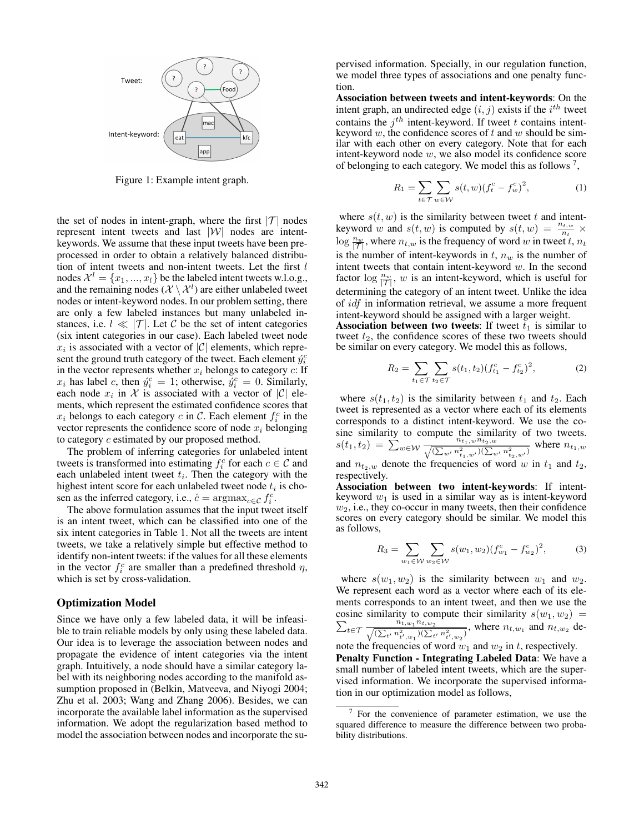

Figure 1: Example intent graph.

the set of nodes in intent-graph, where the first  $|\mathcal{T}|$  nodes represent intent tweets and last |W| nodes are intentkeywords. We assume that these input tweets have been preprocessed in order to obtain a relatively balanced distribution of intent tweets and non-intent tweets. Let the first  $l$ nodes  $\mathcal{X}^l = \{x_1, ..., x_l\}$  be the labeled intent tweets w.l.o.g., and the remaining nodes  $(X \setminus \mathcal{X}^l)$  are either unlabeled tweet nodes or intent-keyword nodes. In our problem setting, there are only a few labeled instances but many unlabeled instances, i.e.  $l \ll |\mathcal{T}|$ . Let C be the set of intent categories (six intent categories in our case). Each labeled tweet node  $x_i$  is associated with a vector of  $|C|$  elements, which represent the ground truth category of the tweet. Each element  $\hat{y}_i^c$ in the vector represents whether  $x_i$  belongs to category  $c$ : If  $x_i$  has label c, then  $\acute{y}_i^c = 1$ ; otherwise,  $\acute{y}_i^c = 0$ . Similarly, each node  $x_i$  in X is associated with a vector of  $|C|$  elements, which represent the estimated confidence scores that  $x_i$  belongs to each category c in C. Each element  $f_i^c$  in the vector represents the confidence score of node  $x_i$  belonging to category c estimated by our proposed method.

The problem of inferring categories for unlabeled intent tweets is transformed into estimating  $f_i^c$  for each  $c \in \mathcal{C}$  and each unlabeled intent tweet  $t_i$ . Then the category with the highest intent score for each unlabeled tweet node  $t_i$  is chosen as the inferred category, i.e.,  $\hat{c} = \text{argmax}_{c \in \mathcal{C}} f_i^c$ .

The above formulation assumes that the input tweet itself is an intent tweet, which can be classified into one of the six intent categories in Table 1. Not all the tweets are intent tweets, we take a relatively simple but effective method to identify non-intent tweets: if the values for all these elements in the vector  $f_i^c$  are smaller than a predefined threshold  $\eta$ , which is set by cross-validation.

#### Optimization Model

Since we have only a few labeled data, it will be infeasible to train reliable models by only using these labeled data. Our idea is to leverage the association between nodes and propagate the evidence of intent categories via the intent graph. Intuitively, a node should have a similar category label with its neighboring nodes according to the manifold assumption proposed in (Belkin, Matveeva, and Niyogi 2004; Zhu et al. 2003; Wang and Zhang 2006). Besides, we can incorporate the available label information as the supervised information. We adopt the regularization based method to model the association between nodes and incorporate the supervised information. Specially, in our regulation function, we model three types of associations and one penalty function.

Association between tweets and intent-keywords: On the intent graph, an undirected edge  $(i, j)$  exists if the  $i<sup>th</sup>$  tweet contains the  $j<sup>th</sup>$  intent-keyword. If tweet t contains intentkeyword w, the confidence scores of t and w should be similar with each other on every category. Note that for each intent-keyword node w, we also model its confidence score of belonging to each category. We model this as follows  $^7$ ,

$$
R_1 = \sum_{t \in \mathcal{T}} \sum_{w \in \mathcal{W}} s(t, w) (f_t^c - f_w^c)^2,
$$
 (1)

where  $s(t, w)$  is the similarity between tweet t and intentkeyword w and  $s(t, w)$  is computed by  $s(t, w) = \frac{n_{t, w}}{n_t} \times$  $\log \frac{n_w}{|\mathcal{T}|}$ , where  $n_{t,w}$  is the frequency of word w in tweet t,  $n_t$ is the number of intent-keywords in  $t$ ,  $n_w$  is the number of intent tweets that contain intent-keyword  $w$ . In the second factor  $\log \frac{n_w}{|T|}$ , w is an intent-keyword, which is useful for determining the category of an intent tweet. Unlike the idea of idf in information retrieval, we assume a more frequent intent-keyword should be assigned with a larger weight.

Association between two tweets: If tweet  $\bar{t}_1$  is similar to tweet  $t_2$ , the confidence scores of these two tweets should be similar on every category. We model this as follows,

$$
R_2 = \sum_{t_1 \in \mathcal{T}} \sum_{t_2 \in \mathcal{T}} s(t_1, t_2) (f_{t_1}^c - f_{t_2}^c)^2, \tag{2}
$$

where  $s(t_1, t_2)$  is the similarity between  $t_1$  and  $t_2$ . Each tweet is represented as a vector where each of its elements corresponds to a distinct intent-keyword. We use the cosine similarity to compute the similarity of two tweets.  $s(t_1, t_2) = \sum_{w \in \mathcal{W}} \frac{n_{t_1, w} n_{t_2, w}}{\sqrt{(\sum_{n} n^2)^2} \sqrt{(\sum_{n} n^2)^2}}$  $\frac{n_{t_1,w}n_{t_2,w}}{(\sum_{w'} n_{t_1,w'}^2)(\sum_{w'} n_{t_2,w'}^2)}$  where  $n_{t_1,w}$ 

and  $n_{t_2,w}$  denote the frequencies of word w in  $t_1$  and  $t_2$ , respectively.

Association between two intent-keywords: If intentkeyword  $w_1$  is used in a similar way as is intent-keyword  $w_2$ , i.e., they co-occur in many tweets, then their confidence scores on every category should be similar. We model this as follows,

$$
R_3 = \sum_{w_1 \in \mathcal{W}} \sum_{w_2 \in \mathcal{W}} s(w_1, w_2) (f_{w_1}^c - f_{w_2}^c)^2, \tag{3}
$$

where  $s(w_1, w_2)$  is the similarity between  $w_1$  and  $w_2$ . We represent each word as a vector where each of its elements corresponds to an intent tweet, and then we use the P cosine similarity to compute their similarity  $s(w_1, w_2)$  =  $t \in \mathcal{T}$   $\frac{n_{t,w_1}^{\checkmark} n_{t,w_2}}{(\sum_{i} n_i^2 - )(\sum_{i} n_i^2)}$  $\frac{n_{t,w_1}n_{t,w_2}}{(\sum_{t'} n_{t',w_1}^2)(\sum_{t'} n_{t',w_2}^2)}$ , where  $n_{t,w_1}$  and  $n_{t,w_2}$  denote the frequencies of word  $w_1$  and  $w_2$  in t, respectively.

Penalty Function - Integrating Labeled Data: We have a small number of labeled intent tweets, which are the supervised information. We incorporate the supervised information in our optimization model as follows,

 $7$  For the convenience of parameter estimation, we use the squared difference to measure the difference between two probability distributions.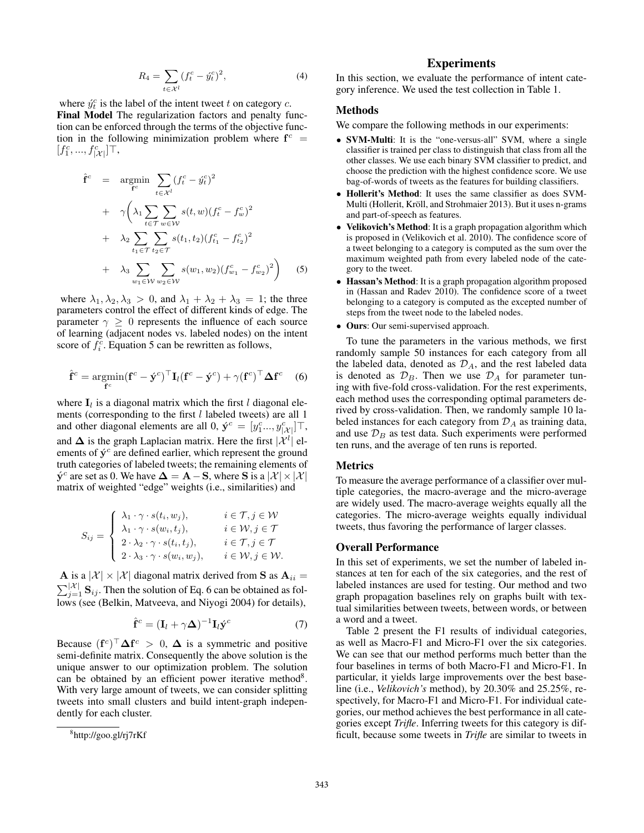$$
R_4 = \sum_{t \in \mathcal{X}^l} (f_t^c - \acute{y}_t^c)^2,
$$
 (4)

where  $\hat{y}_t^c$  is the label of the intent tweet t on category c. Final Model The regularization factors and penalty function can be enforced through the terms of the objective function in the following minimization problem where  $f^c$  =  $[f_1^c, ..., f_{|\mathcal{X}|}^c] \top,$ 

$$
\hat{\mathbf{f}}^{c} = \underset{\mathbf{f}^{c}}{\operatorname{argmin}} \sum_{t \in \mathcal{X}^{l}} (f_{t}^{c} - \hat{y}_{t}^{c})^{2} \n+ \gamma \left( \lambda_{1} \sum_{t \in \mathcal{T}} \sum_{w \in \mathcal{W}} s(t, w) (f_{t}^{c} - f_{w}^{c})^{2} \n+ \lambda_{2} \sum_{t_{1} \in \mathcal{T}} \sum_{t_{2} \in \mathcal{T}} s(t_{1}, t_{2}) (f_{t_{1}}^{c} - f_{t_{2}}^{c})^{2} \n+ \lambda_{3} \sum_{w_{1} \in \mathcal{W}} \sum_{w_{2} \in \mathcal{W}} s(w_{1}, w_{2}) (f_{w_{1}}^{c} - f_{w_{2}}^{c})^{2} \right)
$$
\n(5)

where  $\lambda_1, \lambda_2, \lambda_3 > 0$ , and  $\lambda_1 + \lambda_2 + \lambda_3 = 1$ ; the three parameters control the effect of different kinds of edge. The parameter  $\gamma \geq 0$  represents the influence of each source of learning (adjacent nodes vs. labeled nodes) on the intent score of  $f_i^c$ . Equation 5 can be rewritten as follows,

$$
\hat{\mathbf{f}}^c = \underset{\mathbf{f}^c}{\text{argmin}} (\mathbf{f}^c - \acute{\mathbf{y}}^c)^\top \mathbf{I}_l (\mathbf{f}^c - \acute{\mathbf{y}}^c) + \gamma (\mathbf{f}^c)^\top \mathbf{\Delta} \mathbf{f}^c \quad (6)
$$

where  $I_l$  is a diagonal matrix which the first  $l$  diagonal elements (corresponding to the first  $l$  labeled tweets) are all 1 and other diagonal elements are all 0,  $\acute{\mathbf{y}}^c = [y_1^c..., y_{|\mathcal{X}|}^c] \top$ , and  $\Delta$  is the graph Laplacian matrix. Here the first  $|\mathcal{X}^l|$  elements of  $\acute{y}^c$  are defined earlier, which represent the ground truth categories of labeled tweets; the remaining elements of  $\dot{\mathbf{y}}^c$  are set as 0. We have  $\mathbf{\Delta} = \mathbf{A} - \mathbf{S}$ , where  $\mathbf{S}$  is a  $|\mathcal{X}| \times |\mathcal{X}|$ matrix of weighted "edge" weights (i.e., similarities) and

$$
S_{ij} = \begin{cases} \lambda_1 \cdot \gamma \cdot s(t_i, w_j), & i \in \mathcal{T}, j \in \mathcal{W} \\ \lambda_1 \cdot \gamma \cdot s(w_i, t_j), & i \in \mathcal{W}, j \in \mathcal{T} \\ 2 \cdot \lambda_2 \cdot \gamma \cdot s(t_i, t_j), & i \in \mathcal{T}, j \in \mathcal{T} \\ 2 \cdot \lambda_3 \cdot \gamma \cdot s(w_i, w_j), & i \in \mathcal{W}, j \in \mathcal{W}. \end{cases}
$$

**A** is a  $|\mathcal{X}| \times |\mathcal{X}|$  diagonal matrix derived from **S** as  $\mathbf{A}_{ii} =$  $\sum_{j=1}^{|\mathcal{X}|}$  S<sub>ij</sub>. Then the solution of Eq. 6 can be obtained as follows (see (Belkin, Matveeva, and Niyogi 2004) for details),

$$
\hat{\mathbf{f}}^c = (\mathbf{I}_l + \gamma \mathbf{\Delta})^{-1} \mathbf{I}_l \dot{\mathbf{y}}^c \tag{7}
$$

Because  $(f^c)^\top \Delta f^c > 0$ ,  $\Delta$  is a symmetric and positive semi-definite matrix. Consequently the above solution is the unique answer to our optimization problem. The solution can be obtained by an efficient power iterative method<sup>8</sup>. With very large amount of tweets, we can consider splitting tweets into small clusters and build intent-graph independently for each cluster.

# **Experiments**

In this section, we evaluate the performance of intent category inference. We used the test collection in Table 1.

### Methods

We compare the following methods in our experiments:

- SVM-Multi: It is the "one-versus-all" SVM, where a single classifier is trained per class to distinguish that class from all the other classes. We use each binary SVM classifier to predict, and choose the prediction with the highest confidence score. We use bag-of-words of tweets as the features for building classifiers.
- Hollerit's Method: It uses the same classifier as does SVM-Multi (Hollerit, Kröll, and Strohmaier 2013). But it uses n-grams and part-of-speech as features.
- Velikovich's Method: It is a graph propagation algorithm which is proposed in (Velikovich et al. 2010). The confidence score of a tweet belonging to a category is computed as the sum over the maximum weighted path from every labeled node of the category to the tweet.
- Hassan's Method: It is a graph propagation algorithm proposed in (Hassan and Radev 2010). The confidence score of a tweet belonging to a category is computed as the excepted number of steps from the tweet node to the labeled nodes.
- Ours: Our semi-supervised approach.

To tune the parameters in the various methods, we first randomly sample 50 instances for each category from all the labeled data, denoted as  $\mathcal{D}_A$ , and the rest labeled data is denoted as  $\mathcal{D}_B$ . Then we use  $\mathcal{D}_A$  for parameter tuning with five-fold cross-validation. For the rest experiments, each method uses the corresponding optimal parameters derived by cross-validation. Then, we randomly sample 10 labeled instances for each category from  $\mathcal{D}_A$  as training data, and use  $\mathcal{D}_B$  as test data. Such experiments were performed ten runs, and the average of ten runs is reported.

### Metrics

To measure the average performance of a classifier over multiple categories, the macro-average and the micro-average are widely used. The macro-average weights equally all the categories. The micro-average weights equally individual tweets, thus favoring the performance of larger classes.

### Overall Performance

In this set of experiments, we set the number of labeled instances at ten for each of the six categories, and the rest of labeled instances are used for testing. Our method and two graph propagation baselines rely on graphs built with textual similarities between tweets, between words, or between a word and a tweet.

Table 2 present the F1 results of individual categories, as well as Macro-F1 and Micro-F1 over the six categories. We can see that our method performs much better than the four baselines in terms of both Macro-F1 and Micro-F1. In particular, it yields large improvements over the best baseline (i.e., *Velikovich's* method), by 20.30% and 25.25%, respectively, for Macro-F1 and Micro-F1. For individual categories, our method achieves the best performance in all categories except *Trifle*. Inferring tweets for this category is difficult, because some tweets in *Trifle* are similar to tweets in

<sup>8</sup> http://goo.gl/rj7rKf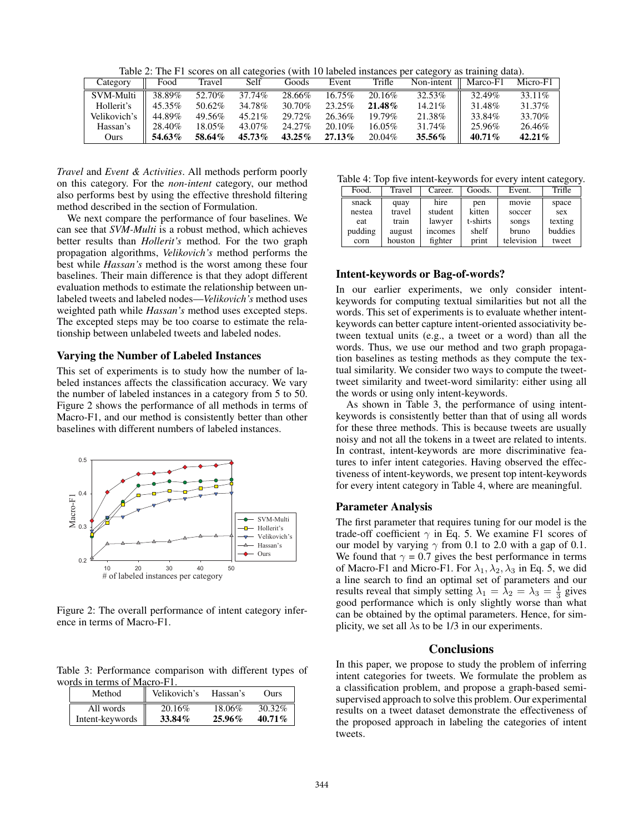Table 2: The F1 scores on all categories (with 10 labeled instances per category as training data).

| Category     | Food   | Travel | Self      | Goods     | Event     | Trifle    | Non-intent | Marco-F1  | Micro-F1  |
|--------------|--------|--------|-----------|-----------|-----------|-----------|------------|-----------|-----------|
| SVM-Multi    | 38.89% | 52.70% | 37.74%    | 28.66%    | $16.75\%$ | 20.16\%   | 32.53%     | $32.49\%$ | 33.11\%   |
| Hollerit's   | 45.35% | 50.62% | 34.78%    | 30.70%    | 23.25%    | $21.48\%$ | $14.21\%$  | 31.48%    | 31.37%    |
| Velikovich's | 44.89% | 49.56% | $45.21\%$ | 29.72%    | 26.36%    | 19.79%    | 21.38%     | 33.84%    | 33.70%    |
| Hassan's     | 28.40% | 18.05% | 43.07%    | 24.27%    | 20.10%    | 16.05%    | 31.74%     | 25.96%    | 26.46%    |
| Ours         | 54.63% | 58.64% | 45.73%    | $43.25\%$ | 27.13%    | 20.04%    | 35.56%     | 40.71%    | $42.21\%$ |

*Travel* and *Event & Activities*. All methods perform poorly on this category. For the *non-intent* category, our method also performs best by using the effective threshold filtering method described in the section of Formulation.

We next compare the performance of four baselines. We can see that *SVM-Multi* is a robust method, which achieves better results than *Hollerit's* method. For the two graph propagation algorithms, *Velikovich's* method performs the best while *Hassan's* method is the worst among these four baselines. Their main difference is that they adopt different evaluation methods to estimate the relationship between unlabeled tweets and labeled nodes—*Velikovich's* method uses weighted path while *Hassan's* method uses excepted steps. The excepted steps may be too coarse to estimate the relationship between unlabeled tweets and labeled nodes.

### Varying the Number of Labeled Instances

This set of experiments is to study how the number of labeled instances affects the classification accuracy. We vary the number of labeled instances in a category from 5 to 50. Figure 2 shows the performance of all methods in terms of Macro-F1, and our method is consistently better than other baselines with different numbers of labeled instances.



Figure 2: The overall performance of intent category inference in terms of Macro-F1.

Table 3: Performance comparison with different types of words in terms of Macro-F1.

| Method          | Velikovich's | Hassan's  | Ours      |
|-----------------|--------------|-----------|-----------|
| All words       | 20.16\%      | 18.06%    | 30.32%    |
| Intent-keywords | 33.84%       | $25.96\%$ | $40.71\%$ |

Table 4: Top five intent-keywords for every intent category.

| Two is the Higher the function for $\mathbf{v}$ , the function $\mathbf{v}$ |         |         |          |            |         |  |  |  |
|-----------------------------------------------------------------------------|---------|---------|----------|------------|---------|--|--|--|
| Food.                                                                       | Travel  | Career. | Goods.   | Event.     | Trifle  |  |  |  |
| snack                                                                       | quay    | hire    | pen      | movie      | space   |  |  |  |
| nestea                                                                      | travel  | student | kitten   | soccer     | sex     |  |  |  |
| eat                                                                         | train   | lawyer  | t-shirts | songs      | texting |  |  |  |
| pudding                                                                     | august  | incomes | shelf    | bruno      | buddies |  |  |  |
| corn                                                                        | houston | fighter | print    | television | tweet   |  |  |  |

### Intent-keywords or Bag-of-words?

In our earlier experiments, we only consider intentkeywords for computing textual similarities but not all the words. This set of experiments is to evaluate whether intentkeywords can better capture intent-oriented associativity between textual units (e.g., a tweet or a word) than all the words. Thus, we use our method and two graph propagation baselines as testing methods as they compute the textual similarity. We consider two ways to compute the tweettweet similarity and tweet-word similarity: either using all the words or using only intent-keywords.

As shown in Table 3, the performance of using intentkeywords is consistently better than that of using all words for these three methods. This is because tweets are usually noisy and not all the tokens in a tweet are related to intents. In contrast, intent-keywords are more discriminative features to infer intent categories. Having observed the effectiveness of intent-keywords, we present top intent-keywords for every intent category in Table 4, where are meaningful.

# Parameter Analysis

The first parameter that requires tuning for our model is the trade-off coefficient  $\gamma$  in Eq. 5. We examine F1 scores of our model by varying  $\gamma$  from 0.1 to 2.0 with a gap of 0.1. We found that  $\gamma = 0.7$  gives the best performance in terms of Macro-F1 and Micro-F1. For  $\lambda_1, \lambda_2, \lambda_3$  in Eq. 5, we did a line search to find an optimal set of parameters and our results reveal that simply setting  $\lambda_1 = \lambda_2 = \lambda_3 = \frac{1}{3}$  gives good performance which is only slightly worse than what can be obtained by the optimal parameters. Hence, for simplicity, we set all  $\lambda$ s to be 1/3 in our experiments.

# **Conclusions**

In this paper, we propose to study the problem of inferring intent categories for tweets. We formulate the problem as a classification problem, and propose a graph-based semisupervised approach to solve this problem. Our experimental results on a tweet dataset demonstrate the effectiveness of the proposed approach in labeling the categories of intent tweets.